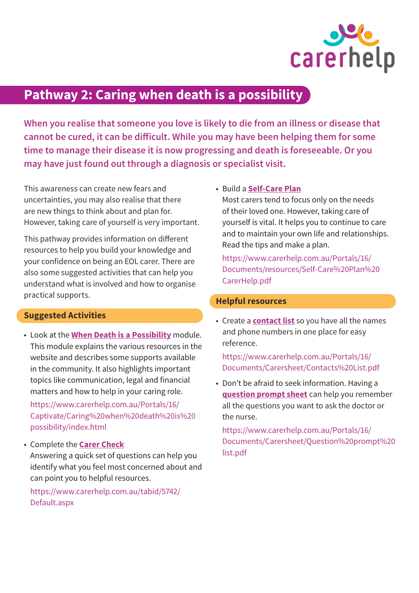

# **Pathway 2: Caring when death is a possibility**

**When you realise that someone you love is likely to die from an illness or disease that cannot be cured, it can be difficult. While you may have been helping them for some time to manage their disease it is now progressing and death is foreseeable. Or you may have just found out through a diagnosis or specialist visit.**

This awareness can create new fears and uncertainties, you may also realise that there are new things to think about and plan for. However, taking care of yourself is very important.

This pathway provides information on different resources to help you build your knowledge and your confidence on being an EOL carer. There are also some suggested activities that can help you understand what is involved and how to organise practical supports.

## **Suggested Activities**

• Look at the **[When Death is a Possibility](https://www.carerhelp.com.au/Portals/16/Captivate/Caring%20when%20death%20is%20possibility/index.html)** module. This module explains the various resources in the website and describes some supports available in the community. It also highlights important topics like communication, legal and financial matters and how to help in your caring role.

[https://www.carerhelp.com.au/Portals/16/](https://www.carerhelp.com.au/Portals/16/Captivate/Caring%20when%20death%20is%20possibility/index.html) [Captivate/Caring%20when%20death%20is%20](https://www.carerhelp.com.au/Portals/16/Captivate/Caring%20when%20death%20is%20possibility/index.html) [possibility/index.html](https://www.carerhelp.com.au/Portals/16/Captivate/Caring%20when%20death%20is%20possibility/index.html)

• Complete the **[Carer Check](https://www.carerhelp.com.au/tabid/5742/Default.aspx)** Answering a quick set of questions can help you identify what you feel most concerned about and can point you to helpful resources.

[https://www.carerhelp.com.au/tabid/5742/](https://www.carerhelp.com.au/tabid/5742/Default.aspx) [Default.aspx](https://www.carerhelp.com.au/tabid/5742/Default.aspx)

• Build a **[Self-Care Plan](https://www.carerhelp.com.au/Portals/16/Documents/resources/Self-Care%20Plan%20CarerHelp.pdf)**

Most carers tend to focus only on the needs of their loved one. However, taking care of yourself is vital. It helps you to continue to care and to maintain your own life and relationships. Read the tips and make a plan.

[https://www.carerhelp.com.au/Portals/16/](https://www.carerhelp.com.au/Portals/16/Documents/resources/Self-Care%20Plan%20CarerHelp.pdf) [Documents/resources/Self-Care%20Plan%20](https://www.carerhelp.com.au/Portals/16/Documents/resources/Self-Care%20Plan%20CarerHelp.pdf) [CarerHelp.pdf](https://www.carerhelp.com.au/Portals/16/Documents/resources/Self-Care%20Plan%20CarerHelp.pdf)

### **Helpful resources**

• Create a **[contact list](https://www.carerhelp.com.au/Portals/16/Documents/Carersheet/Contacts%20List.pdf)** so you have all the names and phone numbers in one place for easy reference.

## [https://www.carerhelp.com.au/Portals/16/](https://www.carerhelp.com.au/Portals/16/Documents/Carersheet/Contacts%20List.pdf) [Documents/Carersheet/Contacts%20List.pdf](https://www.carerhelp.com.au/Portals/16/Documents/Carersheet/Contacts%20List.pdf)

• Don't be afraid to seek information. Having a **[question prompt sheet](https://www.carerhelp.com.au/Portals/16/Documents/Carersheet/Question%20prompt%20list.pdf)** can help you remember all the questions you want to ask the doctor or the nurse.

[https://www.carerhelp.com.au/Portals/16/](https://www.carerhelp.com.au/Portals/16/Documents/Carersheet/Question%20prompt%20list.pdf) [Documents/Carersheet/Question%20prompt%20](https://www.carerhelp.com.au/Portals/16/Documents/Carersheet/Question%20prompt%20list.pdf) [list.pdf](https://www.carerhelp.com.au/Portals/16/Documents/Carersheet/Question%20prompt%20list.pdf)